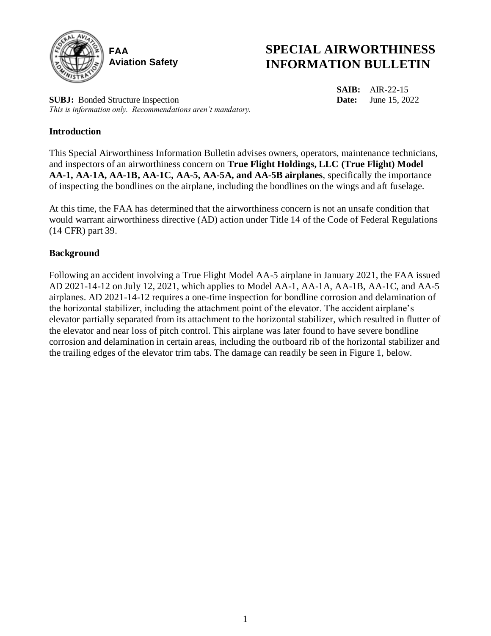

# **SPECIAL AIRWORTHINESS INFORMATION BULLETIN**

**SAIB:** AIR-22-15 **Date:** June 15, 2022

**SUBJ:** Bonded Structure Inspection *This is information only. Recommendations aren't mandatory.*

## **Introduction**

This Special Airworthiness Information Bulletin advises owners, operators, maintenance technicians, and inspectors of an airworthiness concern on **True Flight Holdings, LLC (True Flight) Model AA-1, AA-1A, AA-1B, AA-1C, AA-5, AA-5A, and AA-5B airplanes**, specifically the importance of inspecting the bondlines on the airplane, including the bondlines on the wings and aft fuselage.

At this time, the FAA has determined that the airworthiness concern is not an unsafe condition that would warrant airworthiness directive (AD) action under Title 14 of the Code of Federal Regulations (14 CFR) part 39.

## **Background**

Following an accident involving a True Flight Model AA-5 airplane in January 2021, the FAA issued AD 2021-14-12 on July 12, 2021, which applies to Model AA-1, AA-1A, AA-1B, AA-1C, and AA-5 airplanes. AD 2021-14-12 requires a one-time inspection for bondline corrosion and delamination of the horizontal stabilizer, including the attachment point of the elevator. The accident airplane's elevator partially separated from its attachment to the horizontal stabilizer, which resulted in flutter of the elevator and near loss of pitch control. This airplane was later found to have severe bondline corrosion and delamination in certain areas, including the outboard rib of the horizontal stabilizer and the trailing edges of the elevator trim tabs. The damage can readily be seen in Figure 1, below.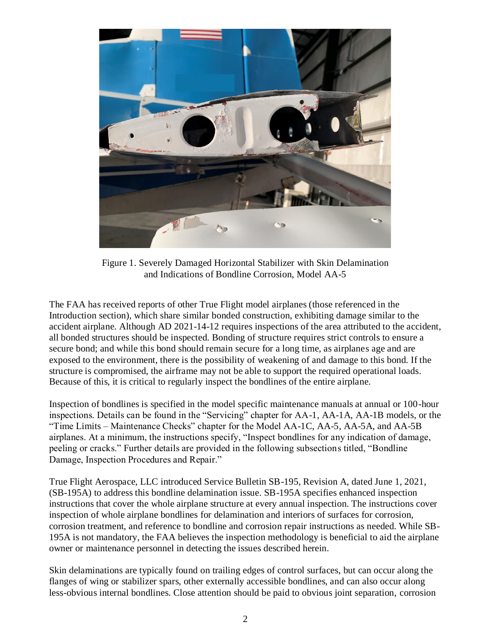

Figure 1. Severely Damaged Horizontal Stabilizer with Skin Delamination and Indications of Bondline Corrosion, Model AA-5

The FAA has received reports of other True Flight model airplanes (those referenced in the Introduction section), which share similar bonded construction, exhibiting damage similar to the accident airplane. Although AD 2021-14-12 requires inspections of the area attributed to the accident, all bonded structures should be inspected. Bonding of structure requires strict controls to ensure a secure bond; and while this bond should remain secure for a long time, as airplanes age and are exposed to the environment, there is the possibility of weakening of and damage to this bond. If the structure is compromised, the airframe may not be able to support the required operational loads. Because of this, it is critical to regularly inspect the bondlines of the entire airplane.

Inspection of bondlines is specified in the model specific maintenance manuals at annual or 100-hour inspections. Details can be found in the "Servicing" chapter for AA-1, AA-1A, AA-1B models, or the "Time Limits – Maintenance Checks" chapter for the Model AA-1C, AA-5, AA-5A, and AA-5B airplanes. At a minimum, the instructions specify, "Inspect bondlines for any indication of damage, peeling or cracks." Further details are provided in the following subsections titled, "Bondline Damage, Inspection Procedures and Repair."

True Flight Aerospace, LLC introduced Service Bulletin SB-195, Revision A, dated June 1, 2021, (SB-195A) to address this bondline delamination issue. SB-195A specifies enhanced inspection instructions that cover the whole airplane structure at every annual inspection. The instructions cover inspection of whole airplane bondlines for delamination and interiors of surfaces for corrosion, corrosion treatment, and reference to bondline and corrosion repair instructions as needed. While SB-195A is not mandatory, the FAA believes the inspection methodology is beneficial to aid the airplane owner or maintenance personnel in detecting the issues described herein.

Skin delaminations are typically found on trailing edges of control surfaces, but can occur along the flanges of wing or stabilizer spars, other externally accessible bondlines, and can also occur along less-obvious internal bondlines. Close attention should be paid to obvious joint separation, corrosion